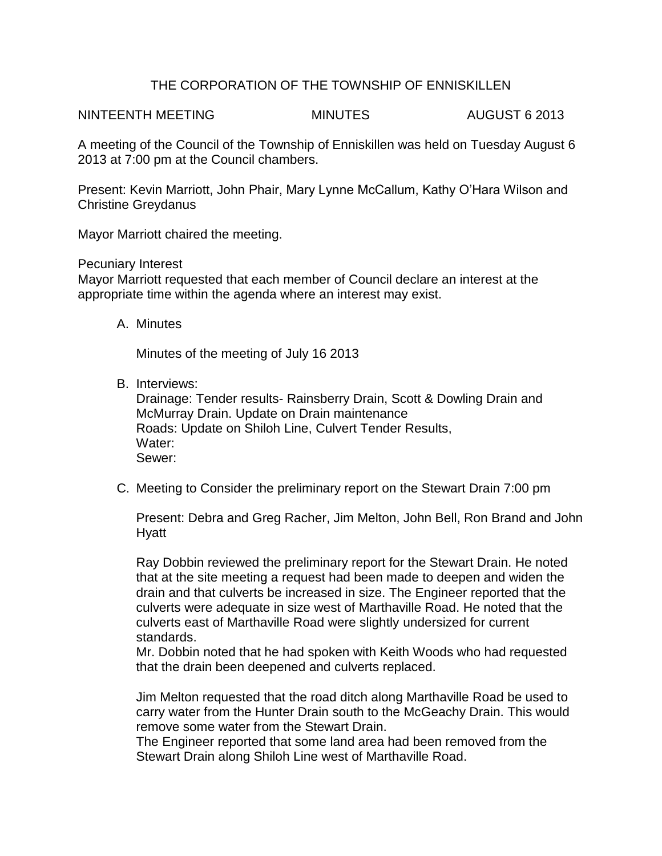## THE CORPORATION OF THE TOWNSHIP OF ENNISKILLEN

NINTEENTH MEETING MINUTES AUGUST 6 2013

A meeting of the Council of the Township of Enniskillen was held on Tuesday August 6 2013 at 7:00 pm at the Council chambers.

Present: Kevin Marriott, John Phair, Mary Lynne McCallum, Kathy O'Hara Wilson and Christine Greydanus

Mayor Marriott chaired the meeting.

Pecuniary Interest

Mayor Marriott requested that each member of Council declare an interest at the appropriate time within the agenda where an interest may exist.

A. Minutes

Minutes of the meeting of July 16 2013

B. Interviews:

Drainage: Tender results- Rainsberry Drain, Scott & Dowling Drain and McMurray Drain. Update on Drain maintenance Roads: Update on Shiloh Line, Culvert Tender Results, Water: Sewer:

C. Meeting to Consider the preliminary report on the Stewart Drain 7:00 pm

Present: Debra and Greg Racher, Jim Melton, John Bell, Ron Brand and John Hyatt

Ray Dobbin reviewed the preliminary report for the Stewart Drain. He noted that at the site meeting a request had been made to deepen and widen the drain and that culverts be increased in size. The Engineer reported that the culverts were adequate in size west of Marthaville Road. He noted that the culverts east of Marthaville Road were slightly undersized for current standards.

Mr. Dobbin noted that he had spoken with Keith Woods who had requested that the drain been deepened and culverts replaced.

Jim Melton requested that the road ditch along Marthaville Road be used to carry water from the Hunter Drain south to the McGeachy Drain. This would remove some water from the Stewart Drain.

The Engineer reported that some land area had been removed from the Stewart Drain along Shiloh Line west of Marthaville Road.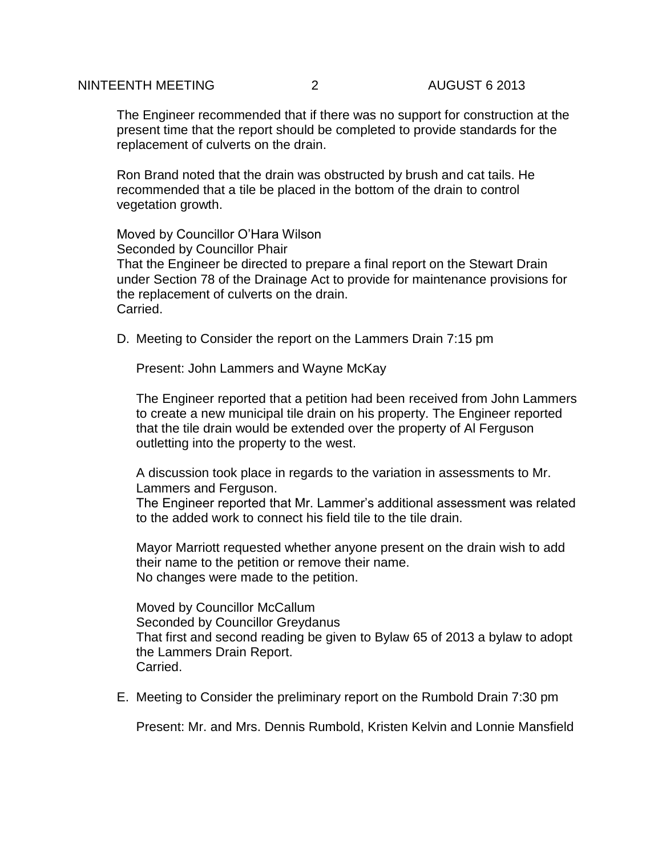#### NINTEENTH MEETING  $\overline{2}$  august 6 2013

The Engineer recommended that if there was no support for construction at the present time that the report should be completed to provide standards for the replacement of culverts on the drain.

Ron Brand noted that the drain was obstructed by brush and cat tails. He recommended that a tile be placed in the bottom of the drain to control vegetation growth.

Moved by Councillor O'Hara Wilson Seconded by Councillor Phair That the Engineer be directed to prepare a final report on the Stewart Drain under Section 78 of the Drainage Act to provide for maintenance provisions for the replacement of culverts on the drain. Carried.

D. Meeting to Consider the report on the Lammers Drain 7:15 pm

Present: John Lammers and Wayne McKay

The Engineer reported that a petition had been received from John Lammers to create a new municipal tile drain on his property. The Engineer reported that the tile drain would be extended over the property of Al Ferguson outletting into the property to the west.

A discussion took place in regards to the variation in assessments to Mr. Lammers and Ferguson.

The Engineer reported that Mr. Lammer's additional assessment was related to the added work to connect his field tile to the tile drain.

Mayor Marriott requested whether anyone present on the drain wish to add their name to the petition or remove their name. No changes were made to the petition.

Moved by Councillor McCallum Seconded by Councillor Greydanus That first and second reading be given to Bylaw 65 of 2013 a bylaw to adopt the Lammers Drain Report. Carried.

E. Meeting to Consider the preliminary report on the Rumbold Drain 7:30 pm

Present: Mr. and Mrs. Dennis Rumbold, Kristen Kelvin and Lonnie Mansfield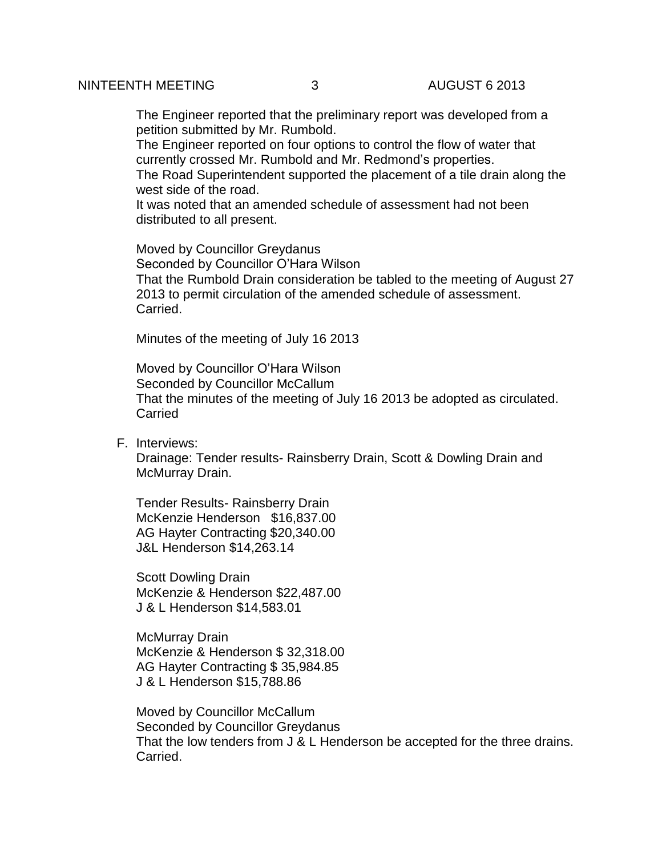The Engineer reported that the preliminary report was developed from a petition submitted by Mr. Rumbold.

The Engineer reported on four options to control the flow of water that currently crossed Mr. Rumbold and Mr. Redmond's properties.

The Road Superintendent supported the placement of a tile drain along the west side of the road.

It was noted that an amended schedule of assessment had not been distributed to all present.

Moved by Councillor Greydanus Seconded by Councillor O'Hara Wilson That the Rumbold Drain consideration be tabled to the meeting of August 27 2013 to permit circulation of the amended schedule of assessment. Carried.

Minutes of the meeting of July 16 2013

Moved by Councillor O'Hara Wilson Seconded by Councillor McCallum That the minutes of the meeting of July 16 2013 be adopted as circulated. **Carried** 

F. Interviews:

Drainage: Tender results- Rainsberry Drain, Scott & Dowling Drain and McMurray Drain.

Tender Results- Rainsberry Drain McKenzie Henderson \$16,837.00 AG Hayter Contracting \$20,340.00 J&L Henderson \$14,263.14

Scott Dowling Drain McKenzie & Henderson \$22,487.00 J & L Henderson \$14,583.01

McMurray Drain McKenzie & Henderson \$ 32,318.00 AG Hayter Contracting \$ 35,984.85 J & L Henderson \$15,788.86

Moved by Councillor McCallum Seconded by Councillor Greydanus That the low tenders from J & L Henderson be accepted for the three drains. Carried.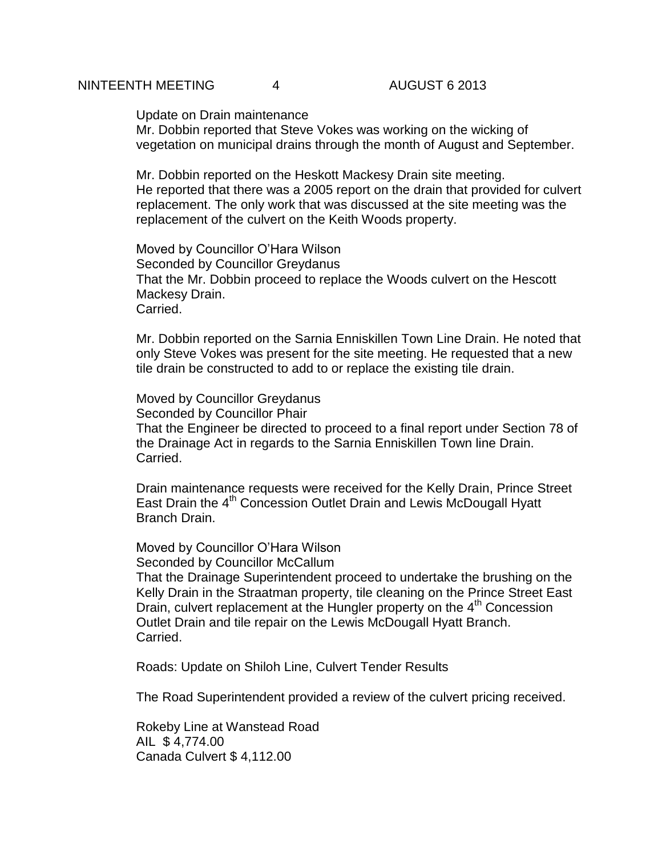#### NINTEENTH MEETING 4 AUGUST 6 2013

Update on Drain maintenance

Mr. Dobbin reported that Steve Vokes was working on the wicking of vegetation on municipal drains through the month of August and September.

Mr. Dobbin reported on the Heskott Mackesy Drain site meeting. He reported that there was a 2005 report on the drain that provided for culvert replacement. The only work that was discussed at the site meeting was the replacement of the culvert on the Keith Woods property.

Moved by Councillor O'Hara Wilson Seconded by Councillor Greydanus That the Mr. Dobbin proceed to replace the Woods culvert on the Hescott Mackesy Drain. Carried.

Mr. Dobbin reported on the Sarnia Enniskillen Town Line Drain. He noted that only Steve Vokes was present for the site meeting. He requested that a new tile drain be constructed to add to or replace the existing tile drain.

Moved by Councillor Greydanus Seconded by Councillor Phair That the Engineer be directed to proceed to a final report under Section 78 of the Drainage Act in regards to the Sarnia Enniskillen Town line Drain. Carried.

Drain maintenance requests were received for the Kelly Drain, Prince Street East Drain the 4<sup>th</sup> Concession Outlet Drain and Lewis McDougall Hyatt Branch Drain.

Moved by Councillor O'Hara Wilson Seconded by Councillor McCallum That the Drainage Superintendent proceed to undertake the brushing on the Kelly Drain in the Straatman property, tile cleaning on the Prince Street East Drain, culvert replacement at the Hungler property on the 4<sup>th</sup> Concession Outlet Drain and tile repair on the Lewis McDougall Hyatt Branch. Carried.

Roads: Update on Shiloh Line, Culvert Tender Results

The Road Superintendent provided a review of the culvert pricing received.

Rokeby Line at Wanstead Road AIL \$ 4,774.00 Canada Culvert \$ 4,112.00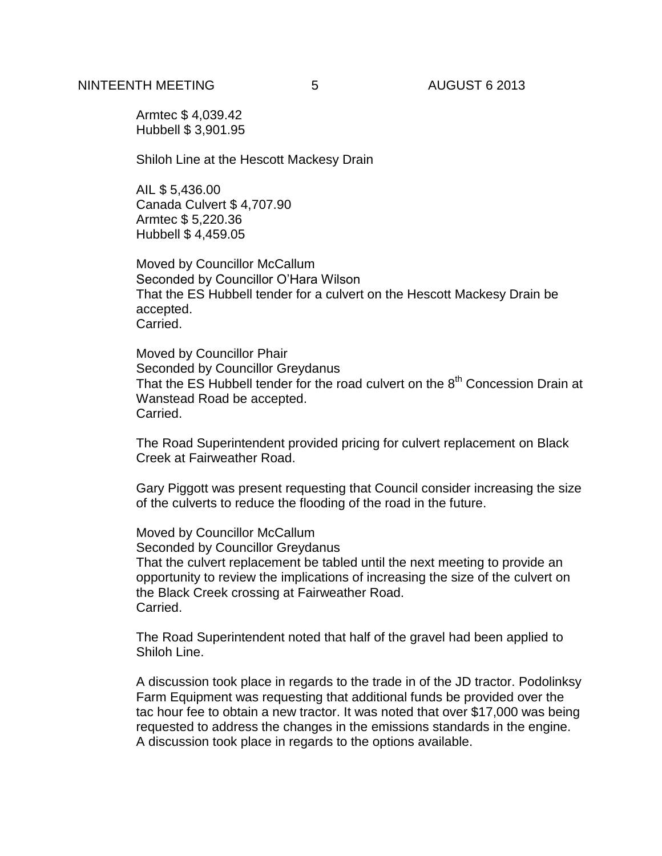Armtec \$ 4,039.42 Hubbell \$ 3,901.95

Shiloh Line at the Hescott Mackesy Drain

AIL \$ 5,436.00 Canada Culvert \$ 4,707.90 Armtec \$ 5,220.36 Hubbell \$ 4,459.05

Moved by Councillor McCallum Seconded by Councillor O'Hara Wilson That the ES Hubbell tender for a culvert on the Hescott Mackesy Drain be accepted. Carried.

Moved by Councillor Phair Seconded by Councillor Greydanus That the ES Hubbell tender for the road culvert on the  $8<sup>th</sup>$  Concession Drain at Wanstead Road be accepted. Carried.

The Road Superintendent provided pricing for culvert replacement on Black Creek at Fairweather Road.

Gary Piggott was present requesting that Council consider increasing the size of the culverts to reduce the flooding of the road in the future.

Moved by Councillor McCallum Seconded by Councillor Greydanus That the culvert replacement be tabled until the next meeting to provide an opportunity to review the implications of increasing the size of the culvert on the Black Creek crossing at Fairweather Road. Carried.

The Road Superintendent noted that half of the gravel had been applied to Shiloh Line.

A discussion took place in regards to the trade in of the JD tractor. Podolinksy Farm Equipment was requesting that additional funds be provided over the tac hour fee to obtain a new tractor. It was noted that over \$17,000 was being requested to address the changes in the emissions standards in the engine. A discussion took place in regards to the options available.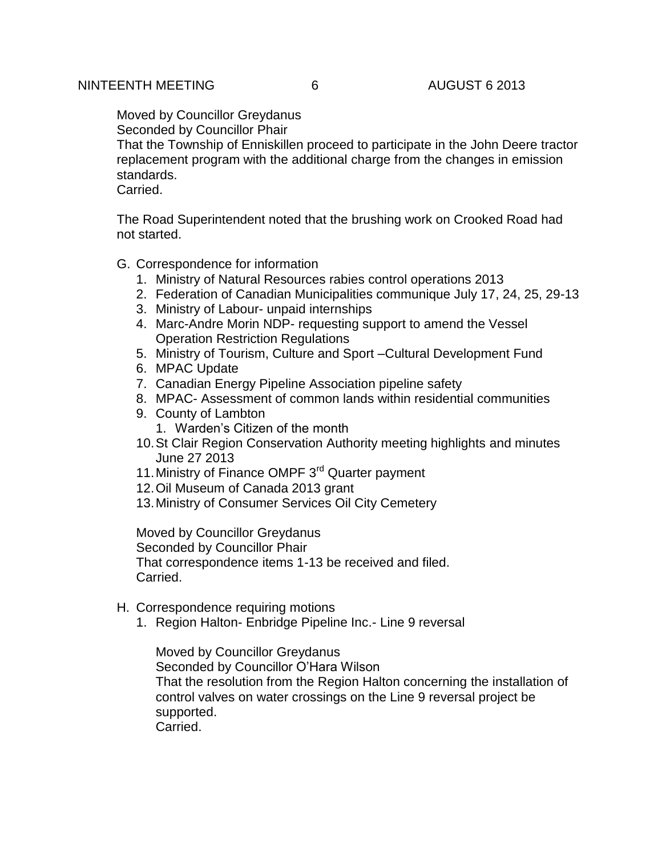Moved by Councillor Greydanus Seconded by Councillor Phair

That the Township of Enniskillen proceed to participate in the John Deere tractor replacement program with the additional charge from the changes in emission standards.

Carried.

The Road Superintendent noted that the brushing work on Crooked Road had not started.

G. Correspondence for information

- 1. Ministry of Natural Resources rabies control operations 2013
- 2. Federation of Canadian Municipalities communique July 17, 24, 25, 29-13
- 3. Ministry of Labour- unpaid internships
- 4. Marc-Andre Morin NDP- requesting support to amend the Vessel Operation Restriction Regulations
- 5. Ministry of Tourism, Culture and Sport –Cultural Development Fund
- 6. MPAC Update
- 7. Canadian Energy Pipeline Association pipeline safety
- 8. MPAC- Assessment of common lands within residential communities
- 9. County of Lambton
	- 1. Warden's Citizen of the month
- 10.St Clair Region Conservation Authority meeting highlights and minutes June 27 2013
- 11. Ministry of Finance OMPF 3<sup>rd</sup> Quarter payment
- 12.Oil Museum of Canada 2013 grant
- 13.Ministry of Consumer Services Oil City Cemetery

Moved by Councillor Greydanus Seconded by Councillor Phair That correspondence items 1-13 be received and filed. Carried.

- H. Correspondence requiring motions
	- 1. Region Halton- Enbridge Pipeline Inc.- Line 9 reversal

Moved by Councillor Greydanus Seconded by Councillor O'Hara Wilson That the resolution from the Region Halton concerning the installation of control valves on water crossings on the Line 9 reversal project be supported. Carried.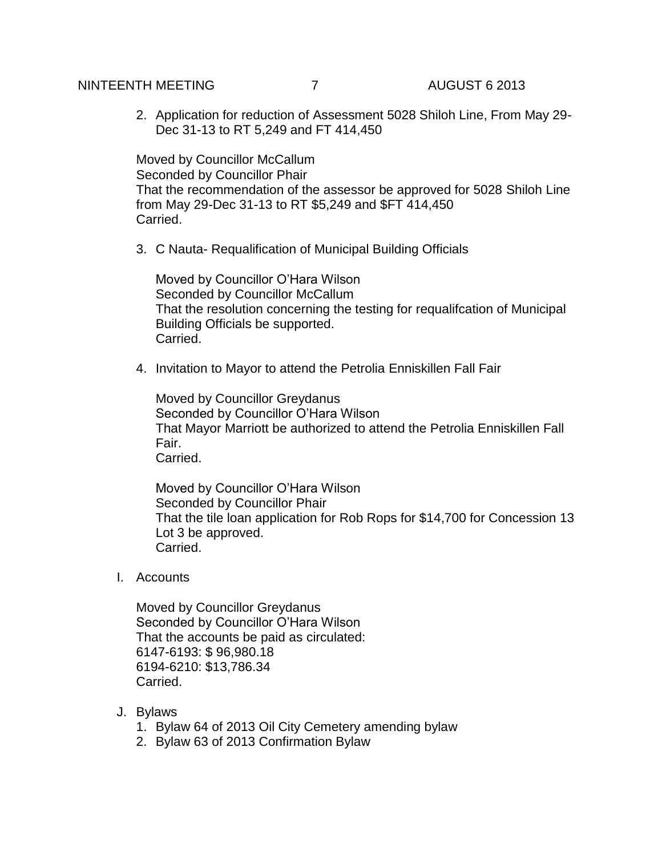## NINTEENTH MEETING  $\overline{7}$  august 6 2013

2. Application for reduction of Assessment 5028 Shiloh Line, From May 29- Dec 31-13 to RT 5,249 and FT 414,450

Moved by Councillor McCallum Seconded by Councillor Phair That the recommendation of the assessor be approved for 5028 Shiloh Line from May 29-Dec 31-13 to RT \$5,249 and \$FT 414,450 Carried.

3. C Nauta- Requalification of Municipal Building Officials

Moved by Councillor O'Hara Wilson Seconded by Councillor McCallum That the resolution concerning the testing for requalifcation of Municipal Building Officials be supported. Carried.

4. Invitation to Mayor to attend the Petrolia Enniskillen Fall Fair

Moved by Councillor Greydanus Seconded by Councillor O'Hara Wilson That Mayor Marriott be authorized to attend the Petrolia Enniskillen Fall Fair. Carried.

Moved by Councillor O'Hara Wilson Seconded by Councillor Phair That the tile loan application for Rob Rops for \$14,700 for Concession 13 Lot 3 be approved. Carried.

I. Accounts

Moved by Councillor Greydanus Seconded by Councillor O'Hara Wilson That the accounts be paid as circulated: 6147-6193: \$ 96,980.18 6194-6210: \$13,786.34 Carried.

- J. Bylaws
	- 1. Bylaw 64 of 2013 Oil City Cemetery amending bylaw
	- 2. Bylaw 63 of 2013 Confirmation Bylaw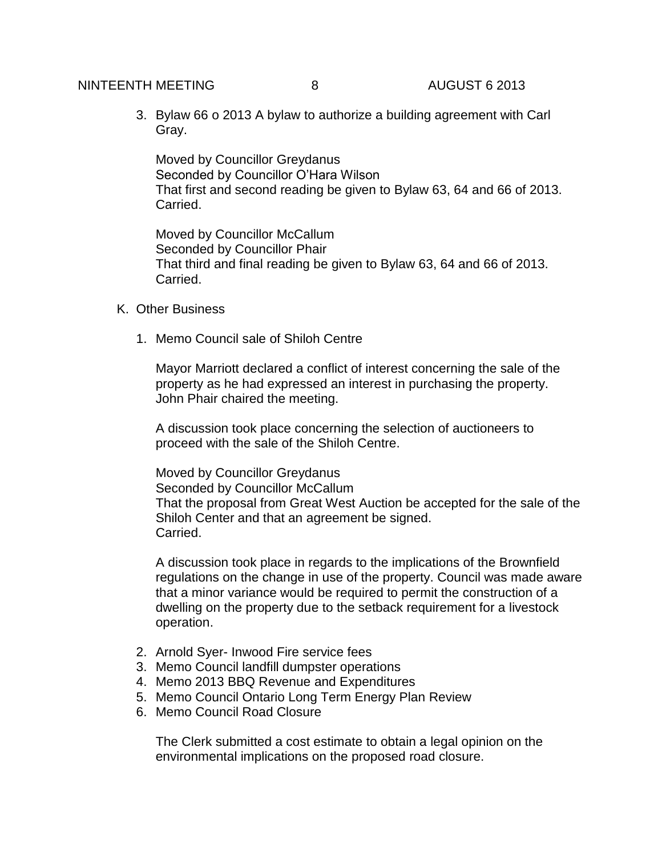# NINTEENTH MEETING  $\begin{array}{ccc} 8 & 8 & 4 \end{array}$  AUGUST 6 2013

3. Bylaw 66 o 2013 A bylaw to authorize a building agreement with Carl Gray.

Moved by Councillor Greydanus Seconded by Councillor O'Hara Wilson That first and second reading be given to Bylaw 63, 64 and 66 of 2013. Carried.

Moved by Councillor McCallum Seconded by Councillor Phair That third and final reading be given to Bylaw 63, 64 and 66 of 2013. Carried.

### K. Other Business

1. Memo Council sale of Shiloh Centre

Mayor Marriott declared a conflict of interest concerning the sale of the property as he had expressed an interest in purchasing the property. John Phair chaired the meeting.

A discussion took place concerning the selection of auctioneers to proceed with the sale of the Shiloh Centre.

Moved by Councillor Greydanus Seconded by Councillor McCallum That the proposal from Great West Auction be accepted for the sale of the Shiloh Center and that an agreement be signed. Carried.

A discussion took place in regards to the implications of the Brownfield regulations on the change in use of the property. Council was made aware that a minor variance would be required to permit the construction of a dwelling on the property due to the setback requirement for a livestock operation.

- 2. Arnold Syer- Inwood Fire service fees
- 3. Memo Council landfill dumpster operations
- 4. Memo 2013 BBQ Revenue and Expenditures
- 5. Memo Council Ontario Long Term Energy Plan Review
- 6. Memo Council Road Closure

The Clerk submitted a cost estimate to obtain a legal opinion on the environmental implications on the proposed road closure.